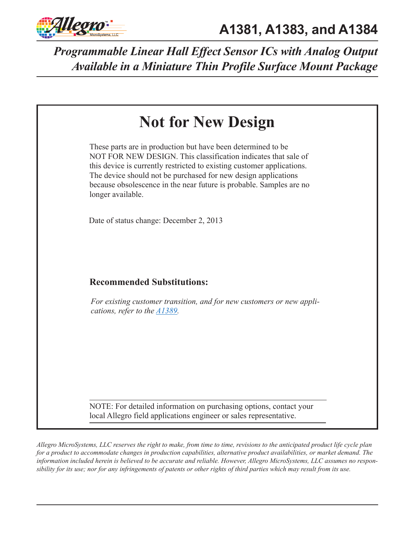

| <b>Not for New Design</b>                                                                                                                                                                                                                                                                                                                                              |
|------------------------------------------------------------------------------------------------------------------------------------------------------------------------------------------------------------------------------------------------------------------------------------------------------------------------------------------------------------------------|
| These parts are in production but have been determined to be<br>NOT FOR NEW DESIGN. This classification indicates that sale of<br>this device is currently restricted to existing customer applications.<br>The device should not be purchased for new design applications<br>because obsolescence in the near future is probable. Samples are no<br>longer available. |
| Date of status change: December 2, 2013                                                                                                                                                                                                                                                                                                                                |
| <b>Recommended Substitutions:</b>                                                                                                                                                                                                                                                                                                                                      |
| For existing customer transition, and for new customers or new appli-<br>cations, refer to the $\triangle 1389$ .                                                                                                                                                                                                                                                      |
|                                                                                                                                                                                                                                                                                                                                                                        |
| NOTE: For detailed information on purchasing options, contact your<br>local Allegro field applications engineer or sales representative.                                                                                                                                                                                                                               |
|                                                                                                                                                                                                                                                                                                                                                                        |

*Allegro MicroSystems, LLC reserves the right to make, from time to time, revisions to the anticipated product life cycle plan for a product to accommodate changes in production capabilities, alternative product availabilities, or market demand. The information included herein is believed to be accurate and reliable. However, Allegro MicroSystems, LLC assumes no responsibility for its use; nor for any infringements of patents or other rights of third parties which may result from its use.*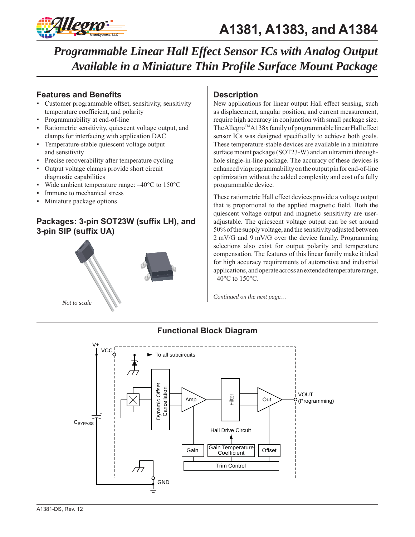

### **Features and Benefits**

- Customer programmable offset, sensitivity, sensitivity temperature coefficient, and polarity
- Programmability at end-of-line
- Ratiometric sensitivity, quiescent voltage output, and clamps for interfacing with application DAC
- Temperature-stable quiescent voltage output and sensitivity
- Precise recoverability after temperature cycling
- Output voltage clamps provide short circuit diagnostic capabilities
- Wide ambient temperature range:  $-40^{\circ}$ C to 150 $^{\circ}$ C
- Immune to mechanical stress
- Miniature package options

## **Packages: 3-pin SOT23W (suffix LH), and 3-pin SIP (suffix UA)**



### **Description**

New applications for linear output Hall effect sensing, such as displacement, angular position, and current measurement, require high accuracy in conjunction with small package size. The Allegro™ A138x family of programmable linear Hall effect sensor ICs was designed specifically to achieve both goals. These temperature-stable devices are available in a miniature surface mount package (SOT23-W) and an ultramini throughhole single-in-line package. The accuracy of these devices is enhanced via programmability on the output pin for end-of-line optimization without the added complexity and cost of a fully programmable device.

These ratiometric Hall effect devices provide a voltage output that is proportional to the applied magnetic field. Both the quiescent voltage output and magnetic sensitivity are useradjustable. The quiescent voltage output can be set around 50% of the supply voltage, and the sensitivity adjusted between 2 mV/G and 9 mV/G over the device family. Programming selections also exist for output polarity and temperature compensation. The features of this linear family make it ideal for high accuracy requirements of automotive and industrial applications, and operate across an extended temperature range,  $-40^{\circ}$ C to  $150^{\circ}$ C.

*Continued on the next page…*



### **Functional Block Diagram**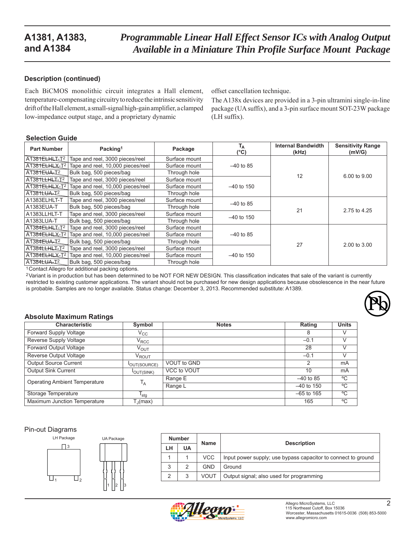### **Description (continued)**

Each BiCMOS monolithic circuit integrates a Hall element, temperature-compensating circuitry to reduce the intrinsic sensitivity drift of the Hall element, a small-signal high-gain amplifier, a clamped low-impedance output stage, and a proprietary dynamic

offset cancellation technique.

The A138x devices are provided in a 3-pin ultramini single-in-line package (UA suffix), and a 3-pin surface mount SOT-23W package (LH suffix).

#### **Selection Guide**

| <b>Part Number</b>        | Packing <sup>1</sup>              | Package       | T <sub>A</sub><br>$(^{\circ}C)$ | <b>Internal Bandwidth</b><br>(kHz) | <b>Sensitivity Range</b><br>(mV/G) |
|---------------------------|-----------------------------------|---------------|---------------------------------|------------------------------------|------------------------------------|
| A1381ELHLI-T <sup>2</sup> | Tape and reel, 3000 pieces/reel   | Surface mount |                                 |                                    |                                    |
| A1381ELHLX-T2             | Tape and reel, 10,000 pieces/reel | Surface mount | $-40$ to 85                     |                                    |                                    |
| A1381EUA-12               | Bulk bag, 500 pieces/bag          | Through hole  |                                 | 12                                 | 6.00 to 9.00                       |
| A1381LLHLI-T2             | Tape and reel, 3000 pieces/reel   | Surface mount |                                 |                                    |                                    |
| A1381ELHLX-T2             | Tape and reel, 10,000 pieces/reel | Surface mount | $-40$ to 150                    |                                    |                                    |
| A1381LUA-I2               | Bulk bag, 500 pieces/bag          | Through hole  |                                 |                                    |                                    |
| A1383ELHLT-T              | Tape and reel, 3000 pieces/reel   | Surface mount | $-40$ to 85                     |                                    |                                    |
| A1383EUA-T                | Bulk bag, 500 pieces/bag          | Through hole  |                                 | 21                                 | 2.75 to 4.25                       |
| A1383LLHLT-T              | Tape and reel, 3000 pieces/reel   | Surface mount | $-40$ to 150                    |                                    |                                    |
| A1383LUA-T                | Bulk bag, 500 pieces/bag          | Through hole  |                                 |                                    |                                    |
| A1384ELHLI-T2             | Tape and reel, 3000 pieces/reel   | Surface mount |                                 |                                    |                                    |
| A1384ELHLX-T2             | Tape and reel, 10,000 pieces/reel | Surface mount | $-40$ to 85                     |                                    |                                    |
| A1384EUA-I <sup>2</sup>   | Bulk bag, 500 pieces/bag          | Through hole  |                                 | 27                                 | 2.00 to 3.00                       |
| A1384LLHLT-T <sup>2</sup> | Tape and reel, 3000 pieces/reel   | Surface mount |                                 |                                    |                                    |
| A1384ELHLX-T <sup>2</sup> | Tape and reel, 10,000 pieces/reel | Surface mount | $-40$ to 150                    |                                    |                                    |
| A1384LUA-T2               | Bulk bag, 500 pieces/bag          | Through hole  |                                 |                                    |                                    |

<sup>1</sup> Contact Allegro for additional packing options.

2 Variant is in production but has been determined to be NOT FOR NEW DESIGN. This classification indicates that sale of the variant is currently restricted to existing customer applications. The variant should not be purchased for new design applications because obsolescence in the near future is probable. Samples are no longer available. Status change: December 3, 2013. Recommended substitute: A1389.

#### **Absolute Maximum Ratings**

| <b>Characteristic</b>                | Symbol            | <b>Notes</b>       | Rating       | <b>Units</b> |
|--------------------------------------|-------------------|--------------------|--------------|--------------|
| Forward Supply Voltage               | $\rm v_{cc}$      |                    | 8            |              |
| Reverse Supply Voltage               | $\rm V_{\rm RCC}$ |                    | $-0.1$       |              |
| Forward Output Voltage               | V <sub>OUT</sub>  |                    | 28           |              |
| Reverse Output Voltage               | $\rm V_{ROUT}$    |                    | $-0.1$       | $\vee$       |
| <b>Output Source Current</b>         | OUT(SOURCE)       | <b>VOUT to GND</b> | 2            | mA           |
| <b>Output Sink Current</b>           | <b>JOUT(SINK)</b> | VCC to VOUT        | 10           | mA           |
| <b>Operating Ambient Temperature</b> | $T_A$             | Range E            | $-40$ to 85  | °C           |
|                                      |                   | Range L            | $-40$ to 150 | °C           |
| Storage Temperature                  | $T_{\text{stg}}$  |                    | $-65$ to 165 | °C           |
| Maximum Junction Temperature         | $T_{\rm d}$ (max) |                    | 165          | °C           |

#### Pin-out Diagrams



|    | <b>Number</b> | Name       | <b>Description</b>                                            |  |  |
|----|---------------|------------|---------------------------------------------------------------|--|--|
| LH | UA            |            |                                                               |  |  |
|    |               | <b>VCC</b> | Input power supply; use bypass capacitor to connect to ground |  |  |
| 3  |               | GND        | Ground                                                        |  |  |
|    |               | VOUT       | Output signal; also used for programming                      |  |  |



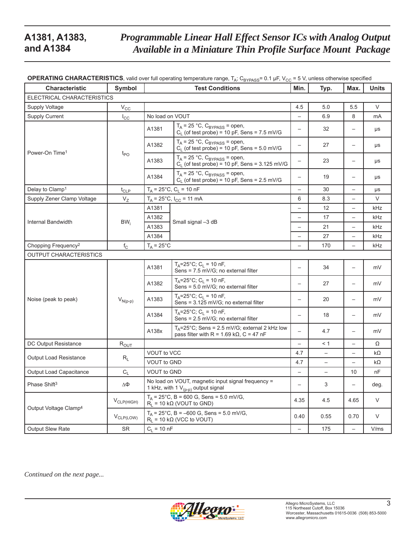| <b>Characteristic</b>             | Symbol                | <b>OPERATING CHARACTERISTICS</b> , valid over full operating temperature range, $T_A$ ; C <sub>BYPASS</sub> = 0.1 µF, V <sub>CC</sub> = 5 V, unless otherwise specified<br><b>Test Conditions</b> |                                                                                                                 | Min.                     | Typ.                     | Max.                              | <b>Units</b> |
|-----------------------------------|-----------------------|---------------------------------------------------------------------------------------------------------------------------------------------------------------------------------------------------|-----------------------------------------------------------------------------------------------------------------|--------------------------|--------------------------|-----------------------------------|--------------|
| ELECTRICAL CHARACTERISTICS        |                       |                                                                                                                                                                                                   |                                                                                                                 |                          |                          |                                   |              |
| Supply Voltage                    | $V_{CC}$              |                                                                                                                                                                                                   |                                                                                                                 | 4.5                      | 5.0                      | 5.5                               | V            |
| <b>Supply Current</b>             | $I_{\rm CC}$          | No load on VOUT                                                                                                                                                                                   |                                                                                                                 |                          | 6.9                      | 8                                 | mA           |
|                                   |                       | A1381                                                                                                                                                                                             | $T_A$ = 25 °C, $C_{BYPASS}$ = open,<br>$C_1$ (of test probe) = 10 pF, Sens = 7.5 mV/G                           | $\overline{\phantom{0}}$ | 32                       | $\overbrace{\phantom{123221111}}$ | μs           |
|                                   |                       | A1382                                                                                                                                                                                             | $T_A$ = 25 °C, $C_{BYPASS}$ = open,<br>$C1$ (of test probe) = 10 pF, Sens = 5.0 mV/G                            | $\qquad \qquad -$        | 27                       |                                   | μs           |
| Power-On Time <sup>1</sup>        | $t_{PO}$              | A1383                                                                                                                                                                                             | $T_A$ = 25 °C, $C_{BYPASS}$ = open,<br>$C1$ (of test probe) = 10 pF, Sens = 3.125 mV/G                          | $\overline{\phantom{m}}$ | 23                       | $\overline{\phantom{0}}$          | μs           |
|                                   |                       | A1384                                                                                                                                                                                             | $T_A$ = 25 °C, $C_{BYPASS}$ = open,<br>$C1$ (of test probe) = 10 pF, Sens = 2.5 mV/G                            | $\overline{\phantom{m}}$ | 19                       | $\overline{\phantom{0}}$          | μs           |
| Delay to Clamp <sup>1</sup>       | $t_{CLP}$             |                                                                                                                                                                                                   | $T_A$ = 25°C, C <sub>L</sub> = 10 nF                                                                            |                          | 30                       |                                   | μs           |
| Supply Zener Clamp Voltage        | $V_{Z}$               |                                                                                                                                                                                                   | $T_A = 25^{\circ}C$ , $I_{CC} = 11$ mA                                                                          | 6                        | 8.3                      |                                   | $\vee$       |
|                                   |                       | A1381                                                                                                                                                                                             |                                                                                                                 |                          | 12                       |                                   | kHz          |
|                                   |                       | A1382                                                                                                                                                                                             | Small signal -3 dB                                                                                              |                          | 17                       |                                   | kHz          |
| Internal Bandwidth                | $BW_i$                | A1383                                                                                                                                                                                             |                                                                                                                 |                          | 21                       |                                   | kHz          |
|                                   |                       | A1384                                                                                                                                                                                             |                                                                                                                 |                          | 27                       |                                   | kHz          |
| Chopping Frequency <sup>2</sup>   | $f_{\rm C}$           | $T_A = 25^{\circ}C$                                                                                                                                                                               |                                                                                                                 |                          | 170                      |                                   | kHz          |
| OUTPUT CHARACTERISTICS            |                       |                                                                                                                                                                                                   |                                                                                                                 |                          |                          |                                   |              |
|                                   |                       | A1381                                                                                                                                                                                             | $T_A = 25^{\circ}C$ ; $C_L = 10$ nF,<br>Sens = 7.5 mV/G; no external filter                                     | $\qquad \qquad -$        | 34                       | $\overline{\phantom{0}}$          | mV           |
|                                   |                       | A1382                                                                                                                                                                                             | $T_A = 25^{\circ}C$ ; $C_L = 10$ nF,<br>Sens = 5.0 mV/G; no external filter                                     |                          | 27                       |                                   | mV           |
| Noise (peak to peak)              | $V_{N(p-p)}$          | A1383                                                                                                                                                                                             | $T_A = 25^{\circ}C$ ; $C_L = 10$ nF,<br>Sens = 3.125 mV/G; no external filter                                   | $\qquad \qquad -$        | 20                       |                                   | mV           |
|                                   |                       | A1384                                                                                                                                                                                             | $T_A = 25^{\circ}C$ ; C <sub>1</sub> = 10 nF,<br>Sens = 2.5 mV/G; no external filter                            | $\overline{\phantom{m}}$ | 18                       |                                   | mV           |
|                                   |                       |                                                                                                                                                                                                   | $T_A = 25^{\circ}$ C; Sens = 2.5 mV/G; external 2 kHz low<br>pass filter with R = $1.69$ k $\Omega$ , C = 47 nF |                          | 4.7                      |                                   | mV           |
| DC Output Resistance              | $R_{OUT}$             |                                                                                                                                                                                                   |                                                                                                                 | $\overline{\phantom{0}}$ | < 1                      |                                   | Ω            |
|                                   |                       | <b>VOUT to VCC</b>                                                                                                                                                                                |                                                                                                                 | 4.7                      | $\overline{\phantom{0}}$ |                                   | $k\Omega$    |
| <b>Output Load Resistance</b>     | $R_L$                 | <b>VOUT to GND</b>                                                                                                                                                                                |                                                                                                                 | 4.7                      | $\overline{\phantom{0}}$ |                                   | $k\Omega$    |
| <b>Output Load Capacitance</b>    | $\mathrm{C_{L}}$      | <b>VOUT to GND</b>                                                                                                                                                                                |                                                                                                                 | $\qquad \qquad -$        | $\qquad \qquad -$        | 10                                | nF           |
| Phase Shift <sup>3</sup>          | ΔΦ                    | No load on VOUT, magnetic input signal frequency =<br>1 kHz, with 1 $V_{(p-p)}$ output signal                                                                                                     |                                                                                                                 | $\overline{\phantom{0}}$ | 3                        | $\qquad \qquad -$                 | deg.         |
| Output Voltage Clamp <sup>4</sup> | $V_{CLP(HIGH)}$       |                                                                                                                                                                                                   | $T_A$ = 25°C, B = 600 G, Sens = 5.0 mV/G,<br>$R_L$ = 10 k $\Omega$ (VOUT to GND)                                | 4.35                     | 4.5                      | 4.65                              | V            |
|                                   | V <sub>CLP(LOW)</sub> |                                                                                                                                                                                                   | $T_A$ = 25°C, B = -600 G, Sens = 5.0 mV/G,<br>$R_1 = 10 k\Omega$ (VCC to VOUT)                                  | 0.40                     | 0.55                     | 0.70                              | V            |
| Output Slew Rate                  | <b>SR</b>             | $C_1 = 10 \text{ nF}$                                                                                                                                                                             |                                                                                                                 | $\overline{\phantom{0}}$ | 175                      | $\overline{\phantom{0}}$          | V/ms         |

**OPERATING CHARACTERISTICS**, valid over full operating temperature range, T<sub>A</sub>; C<sub>BYPASS</sub>= 0.1 µF, V<sub>CC</sub> = 5 V, unless otherwise specified

*Continued on the next page...*

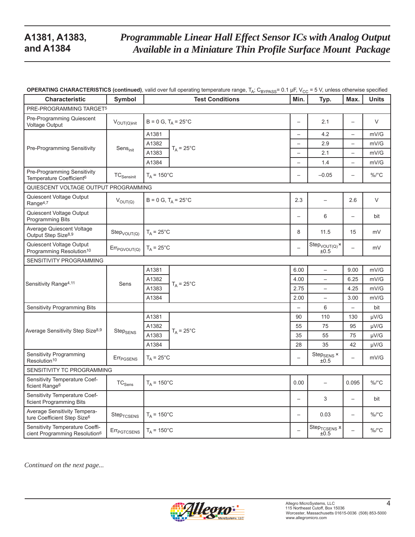# *Programmable Linear Hall Effect Sensor ICs with Analog Output Available in a Miniature Thin Profile Surface Mount Package*

| <b>Characteristic</b>                                                        | <b>Symbol</b>            | ית י- ט<br>- มากงง<br><b>Test Conditions</b> |                          | ◡<br>Typ.                           | Max.                     | <b>Units</b> |
|------------------------------------------------------------------------------|--------------------------|----------------------------------------------|--------------------------|-------------------------------------|--------------------------|--------------|
| PRE-PROGRAMMING TARGET5                                                      |                          |                                              |                          |                                     |                          |              |
| Pre-Programming Quiescent<br><b>Voltage Output</b>                           | $V_{OUT(Q)init}$         | $B = 0 G$ , $T_A = 25^{\circ}C$              | $\overline{\phantom{0}}$ | 2.1                                 | $\overline{\phantom{0}}$ | V            |
|                                                                              |                          | A1381                                        | $\overline{\phantom{0}}$ | 4.2                                 |                          | mV/G         |
| Pre-Programming Sensitivity                                                  |                          | A1382<br>$T_A = 25^{\circ}C$                 | $\overline{\phantom{0}}$ | 2.9                                 | $\overline{\phantom{0}}$ | mV/G         |
|                                                                              | Sensinit                 | A1383                                        |                          | 2.1                                 |                          | mV/G         |
|                                                                              |                          | A1384                                        |                          | 1.4                                 | $\overline{\phantom{0}}$ | mV/G         |
| Pre-Programming Sensitivity<br>Temperature Coefficient <sup>6</sup>          | <b>TC</b> Sensinit       | $T_A$ = 150 $^{\circ}$ C                     | $\overline{\phantom{0}}$ | $-0.05$                             |                          | $\%$ /°C     |
| QUIESCENT VOLTAGE OUTPUT PROGRAMMING                                         |                          |                                              |                          |                                     |                          |              |
| Quiescent Voltage Output<br>Range <sup>4,7</sup>                             | $V_{OUT(Q)}$             | $B = 0 G$ , $T_A = 25^{\circ}C$              | 2.3                      | $\overline{\phantom{0}}$            | 2.6                      | V            |
| Quiescent Voltage Output<br><b>Programming Bits</b>                          |                          |                                              | $\overline{\phantom{0}}$ | 6                                   |                          | bit          |
| Average Quiescent Voltage<br>Output Step Size <sup>8,9</sup>                 | $Step_{VOUT(Q)}$         | $T_A = 25^{\circ}C$                          | 8                        | 11.5                                | 15                       | mV           |
| Quiescent Voltage Output<br>Programming Resolution <sup>10</sup>             | Err <sub>PGVOUT(Q)</sub> | $T_A = 25^{\circ}C$                          |                          | $Step_{VOUT(Q)} x$<br>±0.5          |                          | mV           |
| SENSITIVITY PROGRAMMING                                                      |                          |                                              |                          |                                     |                          |              |
|                                                                              |                          | A1381                                        | 6.00                     | $\overline{\phantom{0}}$            | 9.00                     | mV/G         |
| Sensitivity Range <sup>4,11</sup>                                            | Sens                     | A1382<br>$T_A = 25^{\circ}C$                 | 4.00                     | $\overline{\phantom{0}}$            | 6.25                     | mV/G         |
|                                                                              |                          | A1383                                        | 2.75                     | $\overline{\phantom{0}}$            | 4.25                     | mV/G         |
|                                                                              |                          | A1384                                        | 2.00                     | $\overline{\phantom{0}}$            | 3.00                     | mV/G         |
| Sensitivity Programming Bits                                                 |                          |                                              |                          | 6                                   | $\overline{\phantom{0}}$ | bit          |
|                                                                              |                          | A1381                                        | 90                       | 110                                 | 130                      | $\mu$ V/G    |
| Average Sensitivity Step Size <sup>8,9</sup>                                 | $\rm Step_{SENS}$        | A1382<br>$T_A = 25^{\circ}C$                 | 55                       | 75                                  | 95                       | µV/G         |
|                                                                              |                          | A1383                                        | 35                       | 55                                  | 75                       | $\mu$ V/G    |
|                                                                              |                          | A1384                                        | 28                       | 35                                  | 42                       | $\mu$ V/G    |
| Sensitivity Programming<br>Resolution <sup>10</sup>                          | Err <sub>PGSENS</sub>    | $T_A = 25^{\circ}C$                          |                          | Step $_{\rm SENS}$ $\times$<br>±0.5 |                          | mV/G         |
| SENSITIVITY TC PROGRAMMING                                                   |                          |                                              |                          |                                     |                          |              |
| Sensitivity Temperature Coef-<br>ficient Range <sup>6</sup>                  | ${\tt TC}_{\tt Sens}$    | $T_A$ = 150 $^{\circ}$ C                     | 0.00                     | $\overline{\phantom{0}}$            | 0.095                    | $\%$ /°C     |
| Sensitivity Temperature Coef-<br>ficient Programming Bits                    |                          |                                              |                          | 3                                   |                          | bit          |
| Average Sensitivity Tempera-<br>ture Coefficient Step Size <sup>6</sup>      | Step <sub>TCSENS</sub>   | $T_A = 150^{\circ}C$                         | $\qquad \qquad -$        | 0.03                                |                          | $\%$ /°C     |
| Sensitivity Temperature Coeffi-<br>cient Programming Resolution <sup>6</sup> | Err <sub>PGTCSENS</sub>  | $T_A$ = 150 $^{\circ}$ C                     | $\overline{\phantom{0}}$ | Step <sub>TCSENS</sub> x<br>±0.5    | $\equiv$                 | %/°C         |

**OPERATING CHARACTERISTICS (continued)**, valid over full operating temperature range, T<sub>A</sub>; C<sub>RYPASS</sub>= 0.1 μF, V<sub>CC</sub> = 5 V, unless otherwise specified

*Continued on the next page...*

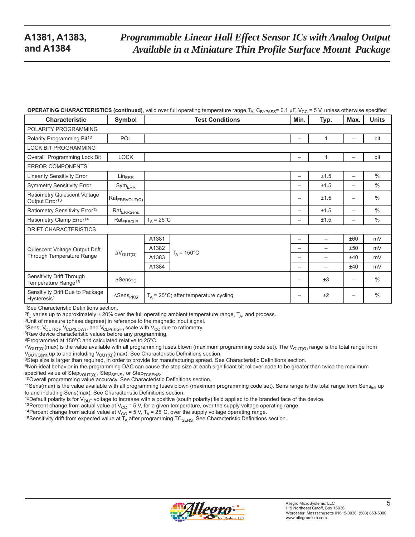#### **OPERATING CHARACTERISTICS (continued)**, valid over full operating temperature range,  $T_A$ ; C<sub>BYPASS</sub>= 0.1 µF, V<sub>CC</sub> = 5 V, unless otherwise specified

| <b>Characteristic</b>                                        | Symbol                                | <b>Test Conditions</b>                  | $\cdots$<br>Min.  | Typ.                     | Max.                     | <b>Units</b>  |
|--------------------------------------------------------------|---------------------------------------|-----------------------------------------|-------------------|--------------------------|--------------------------|---------------|
| POLARITY PROGRAMMING                                         |                                       |                                         |                   |                          |                          |               |
| Polarity Programming Bit <sup>12</sup>                       | POL                                   |                                         |                   | 1                        |                          | bit           |
| <b>LOCK BIT PROGRAMMING</b>                                  |                                       |                                         |                   |                          |                          |               |
| Overall Programming Lock Bit                                 | <b>LOCK</b>                           |                                         |                   |                          |                          | bit           |
| <b>ERROR COMPONENTS</b>                                      |                                       |                                         |                   |                          |                          |               |
| <b>Linearity Sensitivity Error</b>                           | Lin <sub>ERR</sub>                    |                                         |                   | ±1.5                     | $\overline{\phantom{0}}$ | $\frac{0}{0}$ |
| <b>Symmetry Sensitivity Error</b>                            | $Sym_{ERR}$                           |                                         | $\qquad \qquad$   | ±1.5                     | $\overline{\phantom{0}}$ | $\frac{0}{0}$ |
| Ratiometry Quiescent Voltage<br>Output Error <sup>13</sup>   | Rat <sub>ERRVOUT(Q)</sub>             |                                         |                   | ±1.5                     |                          | $\frac{0}{0}$ |
| Ratiometry Sensitivity Error <sup>13</sup>                   | $\mathsf{Rat}_{\mathsf{ERRSens}}$     |                                         | $\qquad \qquad -$ | ±1.5                     | $\overline{\phantom{0}}$ | $\frac{0}{0}$ |
| Ratiometry Clamp Error <sup>14</sup>                         | $\mathsf{Rat}_{\mathsf{ERRCLP}}$      | $T_A = 25^{\circ}C$                     | $\qquad \qquad -$ | ±1.5                     |                          | $\frac{0}{0}$ |
| DRIFT CHARACTERISTICS                                        |                                       |                                         |                   |                          |                          |               |
|                                                              |                                       | A1381                                   | $\qquad \qquad -$ |                          | ±60                      | mV            |
| Quiescent Voltage Output Drift                               |                                       | A1382<br>$T_A$ = 150 $^{\circ}$ C       | $\qquad \qquad$   |                          | ±50                      | mV            |
| Through Temperature Range                                    | $\Delta V_{OUT(Q)}$                   | A1383                                   | $\qquad \qquad$   |                          | ±40                      | mV            |
|                                                              |                                       | A1384                                   | $\qquad \qquad -$ | $\overline{\phantom{0}}$ | ±40                      | mV            |
| Sensitivity Drift Through<br>Temperature Range <sup>15</sup> | $\Delta$ Sens <sub>TC</sub>           |                                         | $\qquad \qquad -$ | ±3                       | $\overline{\phantom{m}}$ | $\%$          |
| Sensitivity Drift Due to Package<br>Hysteresis <sup>1</sup>  | $\Delta \mathsf{Sens}_{\mathsf{PKG}}$ | $T_A$ = 25°C; after temperature cycling | $\qquad \qquad -$ | ±2                       |                          | $\frac{0}{0}$ |

1See Characteristic Definitions section.

 ${}^{2}f_{C}$  varies up to approximately ± 20% over the full operating ambient temperature range, T<sub>A</sub>, and process. 3Unit of measure (phase degrees) in reference to the magnetic input signal.

<sup>4</sup>Sens, V<sub>OUT(Q)</sub>, V<sub>CLP(LOW)</sub>, and V<sub>CLP(HIGH)</sub> scale with V<sub>CC</sub> due to ratiometry.<br><sup>5</sup>Raw device characteristic values before any programming.

6Programmed at 150°C and calculated relative to 25°C.

<sup>7</sup>V<sub>OUT(Q)</sub>(max) is the value available with all programming fuses blown (maximum programming code set). The V<sub>OUT(Q)</sub> range is the total range from<br>V<sub>OUT(Q)init</sub> up to and including V<sub>OUT(Q)</sub>(max). See Characteristic De

<sup>8</sup>Step size is larger than required, in order to provide for manufacturing spread. See Characteristic Definitions section.

9Non-ideal behavior in the programming DAC can cause the step size at each significant bit rollover code to be greater than twice the maximum

specified value of Step<sub>VOUT(Q)</sub> , Step<sub>SENS</sub> , or Step<sub>TCSENS</sub>.<br><sup>10</sup>Overall programming value accuracy. See Characteristic Definitions section.

<sup>11</sup>Sens(max) is the value available with all programming fuses blown (maximum programming code set). Sens range is the total range from Sens<sub>init</sub> up to and including Sens(max). See Characteristic Definitions section.

<sup>12</sup>Default polarity is for V<sub>OUT</sub> voltage to increase with a positive (south polarity) field applied to the branded face of the device.<br><sup>13</sup>Percent change from actual value at V<sub>CC</sub> = 5 V, for a given temperature, over t

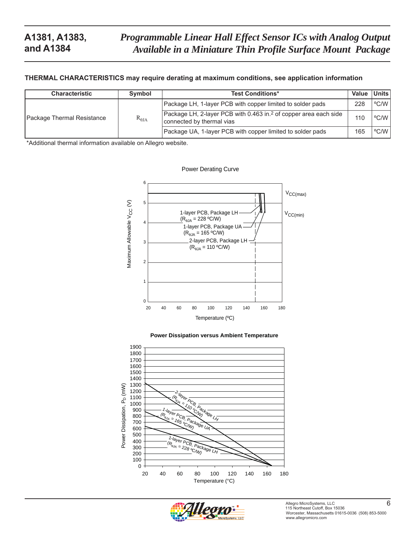#### **THERMAL CHARACTERISTICS may require derating at maximum conditions, see application information**

| <b>Characteristic</b>      | <b>Symbol</b>   | <b>Test Conditions*</b>                                                                                   | Value | Units l |
|----------------------------|-----------------|-----------------------------------------------------------------------------------------------------------|-------|---------|
| Package Thermal Resistance |                 | Package LH, 1-layer PCB with copper limited to solder pads                                                | 228   | °C/W I  |
|                            | $R_{\theta JA}$ | Package LH, 2-layer PCB with 0.463 in. <sup>2</sup> of copper area each side<br>connected by thermal vias | 110   | °C/W    |
|                            |                 | Package UA, 1-layer PCB with copper limited to solder pads                                                | 165   | °C/W I  |

Power Derating Curve

\*Additional thermal information available on Allegro website.







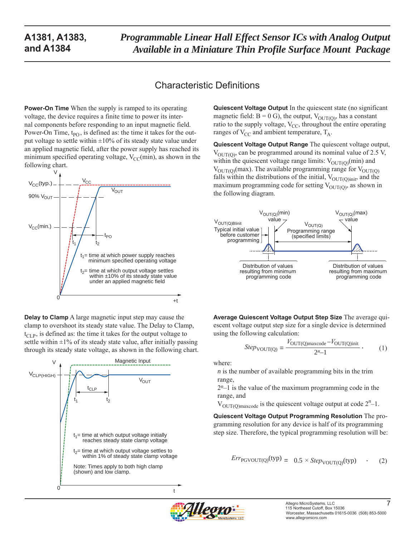*Programmable Linear Hall Effect Sensor ICs with Analog Output Available in a Miniature Thin Profile Surface Mount Package* 

## Characteristic Definitions

**Power-On Time** When the supply is ramped to its operating voltage, the device requires a finite time to power its internal components before responding to an input magnetic field. Power-On Time,  $t_{PO}$ , is defined as: the time it takes for the output voltage to settle within  $\pm 10\%$  of its steady state value under an applied magnetic field, after the power supply has reached its minimum specified operating voltage,  $V_{CC}(min)$ , as shown in the following chart.



**Delay to Clamp** A large magnetic input step may cause the clamp to overshoot its steady state value. The Delay to Clamp,  $t_{\text{CLP}}$ , is defined as: the time it takes for the output voltage to settle within  $\pm 1\%$  of its steady state value, after initially passing through its steady state voltage, as shown in the following chart.



**Quiescent Voltage Output** In the quiescent state (no significant magnetic field:  $B = 0$  G), the output,  $V_{\text{OUT(O)}}$ , has a constant ratio to the supply voltage,  $V_{CC}$ , throughout the entire operating ranges of  $V_{CC}$  and ambient temperature,  $T_A$ .

**Quiescent Voltage Output Range** The quiescent voltage output,  $V_{\text{OUT(O)}}$ , can be programmed around its nominal value of 2.5 V, within the quiescent voltage range limits:  $V_{\text{OUT}(O)}(\text{min})$  and  $V_{\text{OUT(0)}}$ (max). The available programming range for  $V_{\text{OUT(0)}}$ falls within the distributions of the initial,  $V_{\text{OUT}(Q)\text{init}}$ , and the maximum programming code for setting  $V_{\text{OUT(O)}}$ , as shown in the following diagram.



**Average Quiescent Voltage Output Step Size** The average quiescent voltage output step size for a single device is determined using the following calculation:

$$
Step_{\text{VOUT(Q)}} = \frac{V_{\text{OUT(Q)}\text{maxcode}} - V_{\text{OUT(Q)}\text{init}}}{2^{n} - 1} \tag{1}
$$

where:

*n* is the number of available programming bits in the trim range,

2*n*–1 is the value of the maximum programming code in the range, and

 $V_{\text{OUT}(Q)\text{maxcode}}$  is the quiescent voltage output at code  $2^n-1$ .

**Quiescent Voltage Output Programming Resolution** The programming resolution for any device is half of its programming step size. Therefore, the typical programming resolution will be:

$$
Err_{PGVOUT(Q)}(typ) = 0.5 \times Step_{VOUT(Q)}(typ) \quad . \tag{2}
$$

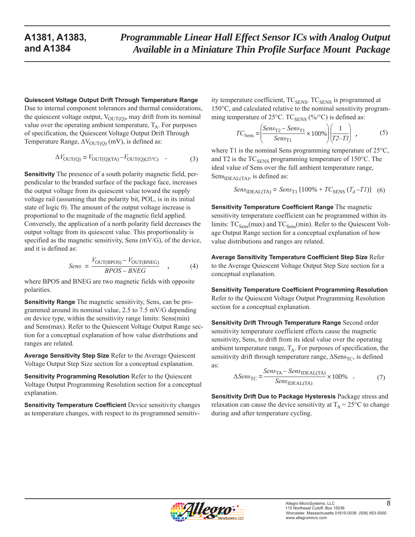#### **Quiescent Voltage Output Drift Through Temperature Range**

Due to internal component tolerances and thermal considerations, the quiescent voltage output,  $V_{\text{OUT(0)}}$ , may drift from its nominal value over the operating ambient temperature,  $T_A$ . For purposes of specification, the Quiescent Voltage Output Drift Through Temperature Range,  $\Delta V_{\text{OUT}(Q)}$  (mV), is defined as:

$$
\Delta V_{\text{OUT(Q)}} = V_{\text{OUT(Q)(TA)}} - V_{\text{OUT(Q)(25°C)}} \quad . \tag{3}
$$

**Sensitivity** The presence of a south polarity magnetic field, perpendicular to the branded surface of the package face, increases the output voltage from its quiescent value toward the supply voltage rail (assuming that the polarity bit, POL, is in its initial state of logic 0). The amount of the output voltage increase is proportional to the magnitude of the magnetic field applied. Conversely, the application of a north polarity field decreases the output voltage from its quiescent value. This proportionality is specified as the magnetic sensitivity, Sens (mV/G), of the device, and it is defined as:

$$
Sens = \frac{V_{\text{OUT(BPOS)}} - V_{\text{OUT(BNEG)}}}{BPOS - BNEG} \quad , \tag{4}
$$

where BPOS and BNEG are two magnetic fields with opposite polarities.

**Sensitivity Range** The magnetic sensitivity, Sens, can be programmed around its nominal value, 2.5 to 7.5 mV/G depending on device type, within the sensitivity range limits: Sens(min) and Sens(max). Refer to the Quiescent Voltage Output Range section for a conceptual explanation of how value distributions and ranges are related.

**Average Sensitivity Step Size** Refer to the Average Quiescent Voltage Output Step Size section for a conceptual explanation.

**Sensitivity Programming Resolution** Refer to the Quiescent Voltage Output Programming Resolution section for a conceptual explanation.

**Sensitivity Temperature Coefficient** Device sensitivity changes as temperature changes, with respect to its programmed sensitivity temperature coefficient, TC<sub>SENS</sub>. TC<sub>SENS</sub> is programmed at 150°C, and calculated relative to the nominal sensitivity programming temperature of 25 $\rm ^{\circ}C$ . TC<sub>SENS</sub> (%/ $\rm ^{\circ}C$ ) is defined as:

$$
TC_{\text{Sens}} = \left(\frac{\text{Sens}_{\text{T2}} - \text{Sens}_{\text{T1}}}{\text{Sens}_{\text{T1}}} \times 100\% \right) \left(\frac{1}{T2 - T1}\right) \tag{5}
$$

where T1 is the nominal Sens programming temperature of 25<sup>o</sup>C, and T2 is the  $TC_{SENS}$  programming temperature of 150 $°C$ . The ideal value of Sens over the full ambient temperature range, Sens<sub>IDEAL(TA)</sub>, is defined as:

$$
Sens_{\text{IDEAL(TA)}} = Sens_{\text{T1}} [100\% + TC_{\text{SENS}} (T_A - T I)] \quad (6)
$$

**Sensitivity Temperature Coefficient Range** The magnetic sensitivity temperature coefficient can be programmed within its limits:  $TC<sub>Sens</sub>(max)$  and  $TC<sub>Sens</sub>(min)$ . Refer to the Quiescent Voltage Output Range section for a conceptual explanation of how value distributions and ranges are related.

**Average Sensitivity Temperature Coefficient Step Size** Refer to the Average Quiescent Voltage Output Step Size section for a conceptual explanation.

**Sensitivity Temperature Coefficient Programming Resolution** Refer to the Quiescent Voltage Output Programming Resolution section for a conceptual explanation.

**Sensitivity Drift Through Temperature Range** Second order sensitivity temperature coefficient effects cause the magnetic sensitivity, Sens, to drift from its ideal value over the operating ambient temperature range,  $T_A$ . For purposes of specification, the sensitivity drift through temperature range, ∆Sens<sub>TC</sub>, is defined as:

$$
\Delta Sens_{\text{TC}} = \frac{Sens_{\text{TA}} - Sens_{\text{IDEAL(TA)}}}{Sens_{\text{IDEAL(TA)}}} \times 100\% \quad . \tag{7}
$$

**Sensitivity Drift Due to Package Hysteresis** Package stress and relaxation can cause the device sensitivity at  $T_A = 25^{\circ}C$  to change during and after temperature cycling.

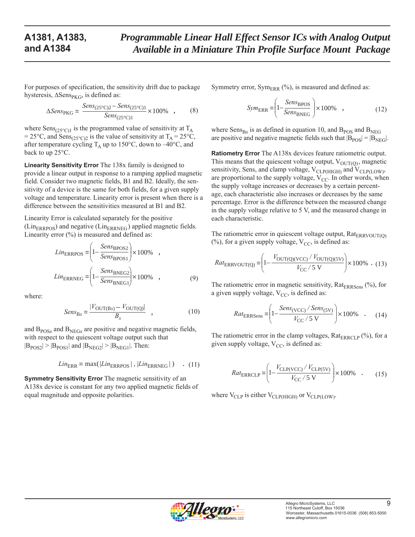For purposes of specification, the sensitivity drift due to package hysteresis,  $\Delta$ Sens<sub>PKG</sub>, is defined as:

$$
\Delta Sens_{PKG} = \frac{Sens_{(25^{\circ}C)2} - Sens_{(25^{\circ}C)1}}{Sens_{(25^{\circ}C)1}} \times 100\% , \qquad (8)
$$

where  $Sens_{(25^{\circ}C)1}$  is the programmed value of sensitivity at T<sub>A</sub> = 25°C, and Sens<sub>(25°C)2</sub> is the value of sensitivity at  $T_A = 25$ °C, after temperature cycling  $T_A$  up to 150°C, down to -40°C, and back to up 25°C.

**Linearity Sensitivity Error** The 138x family is designed to provide a linear output in response to a ramping applied magnetic field. Consider two magnetic fields, B1 and B2. Ideally, the sensitivity of a device is the same for both fields, for a given supply voltage and temperature. Linearity error is present when there is a difference between the sensitivities measured at B1 and B2.

Linearity Error is calculated separately for the positive  $(Lin_{ERRPOS})$  and negative ( $Lin_{ERRNEG}$ ) applied magnetic fields. Linearity error (%) is measured and defined as:

$$
LinERRPOS = \left(1 - \frac{SensBPOS2}{SensBPOS1}\right) \times 100\%
$$
,  

$$
LinERRNEG = \left(1 - \frac{SensBNEG2}{SensBNEG1}\right) \times 100\%
$$
, (9)

where:

$$
Sens_{\text{Bx}} = \frac{|V_{\text{OUT(Bx)}} - V_{\text{OUT(Q)}}|}{B_x} \quad , \tag{10}
$$

and  $B_{POSx}$  and  $B_{NEGx}$  are positive and negative magnetic fields, with respect to the quiescent voltage output such that  $|B_{POS2}|$  >  $|B_{POS1}|$  and  $|B_{NEG2}|$  >  $|B_{NEG1}|$ . Then:

$$
LinERR = max(|LinERRPOS|, |LinERRNEG|) . (11)
$$

**Symmetry Sensitivity Error** The magnetic sensitivity of an A138x device is constant for any two applied magnetic fields of equal magnitude and opposite polarities.

Symmetry error,  $Sym_{ERR}$  (%), is measured and defined as:

$$
SymERR = \left(1 - \frac{SensBPOS}{SensBNEG}\right) \times 100\% ,
$$
 (12)

where  $Sens_{Bx}$  is as defined in equation 10, and  $B<sub>POS</sub>$  and  $B<sub>NEG</sub>$ are positive and negative magnetic fields such that  $|B_{POS}| = |B_{NEG}|$ .

**Ratiometry Error** The A138x devices feature ratiometric output. This means that the quiescent voltage output,  $V_{\text{OUT}(O)}$ , magnetic sensitivity, Sens, and clamp voltage,  $V_{CLP(HIGH)}$  and  $V_{CLP(LOW)}$ , are proportional to the supply voltage,  $V_{CC}$ . In other words, when the supply voltage increases or decreases by a certain percentage, each characteristic also increases or decreases by the same percentage. Error is the difference between the measured change in the supply voltage relative to 5 V, and the measured change in each characteristic.

The ratiometric error in quiescent voltage output,  $Rat_{\text{ERRVOUT(O)}}$ (%), for a given supply voltage,  $V_{CC}$ , is defined as:

$$
Rat_{\text{ERRVOUT(Q)}} = \left(1 - \frac{V_{\text{OUT(Q)(VCC)}} / V_{\text{OUT(Q)(5V)}}}{V_{\text{CC}} / 5 \text{ V}}\right) \times 100\% \quad (13)
$$

The ratiometric error in magnetic sensitivity,  $Rat_{ERRSens}$  (%), for a given supply voltage,  $V_{CC}$ , is defined as:

$$
Rat_{\text{ERRSens}} = \left(1 - \frac{Sens_{(\text{VCC})} / Sens_{(\text{5V})}}{V_{\text{CC}} / 5 \text{ V}}\right) \times 100\% \quad . \tag{14}
$$

The ratiometric error in the clamp voltages,  $Rat_{ERRCLP}$  (%), for a given supply voltage,  $V_{CC}$ , is defined as:

$$
Rat_{\text{ERRCLP}} = \left(1 - \frac{V_{\text{CLP(VCC)}} / V_{\text{CLP(SV)}}}{V_{\text{CC}} / 5 \text{ V}}\right) \times 100\% \quad . \tag{15}
$$

where  $V_{CLP}$  is either  $V_{CLP(HIGH)}$  or  $V_{CLP(LOW)}$ .

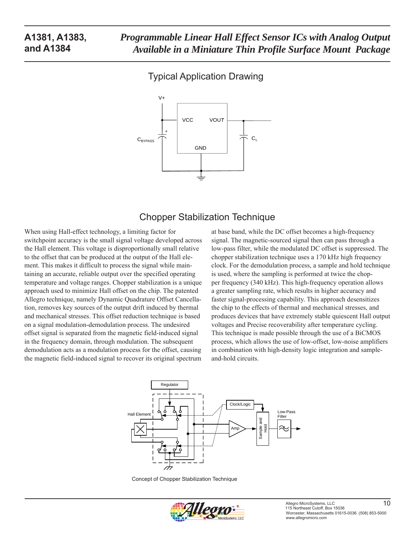## Typical Application Drawing



## Chopper Stabilization Technique

When using Hall-effect technology, a limiting factor for switchpoint accuracy is the small signal voltage developed across the Hall element. This voltage is disproportionally small relative to the offset that can be produced at the output of the Hall element. This makes it difficult to process the signal while maintaining an accurate, reliable output over the specified operating temperature and voltage ranges. Chopper stabilization is a unique approach used to minimize Hall offset on the chip. The patented Allegro technique, namely Dynamic Quadrature Offset Cancellation, removes key sources of the output drift induced by thermal and mechanical stresses. This offset reduction technique is based on a signal modulation-demodulation process. The undesired offset signal is separated from the magnetic field-induced signal in the frequency domain, through modulation. The subsequent demodulation acts as a modulation process for the offset, causing the magnetic field-induced signal to recover its original spectrum

at base band, while the DC offset becomes a high-frequency signal. The magnetic-sourced signal then can pass through a low-pass filter, while the modulated DC offset is suppressed. The chopper stabilization technique uses a 170 kHz high frequency clock. For the demodulation process, a sample and hold technique is used, where the sampling is performed at twice the chopper frequency (340 kHz). This high-frequency operation allows a greater sampling rate, which results in higher accuracy and faster signal-processing capability. This approach desensitizes the chip to the effects of thermal and mechanical stresses, and produces devices that have extremely stable quiescent Hall output voltages and Precise recoverability after temperature cycling. This technique is made possible through the use of a BiCMOS process, which allows the use of low-offset, low-noise amplifiers in combination with high-density logic integration and sampleand-hold circuits.



Concept of Chopper Stabilization Technique

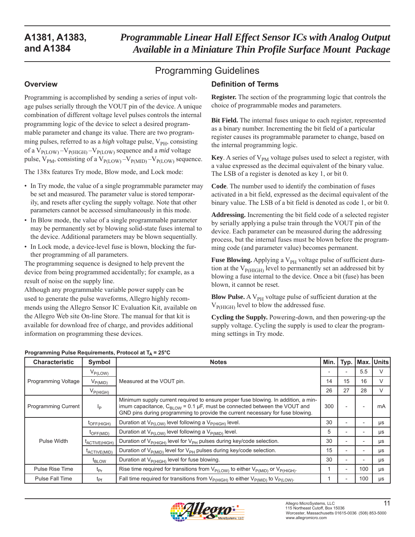*Programmable Linear Hall Effect Sensor ICs with Analog Output Available in a Miniature Thin Profile Surface Mount Package* 

**Definition of Terms**

# Programming Guidelines

#### **Overview**

Programming is accomplished by sending a series of input voltage pulses serially through the VOUT pin of the device. A unique combination of different voltage level pulses controls the internal programming logic of the device to select a desired programmable parameter and change its value. There are two programming pulses, referred to as a *high* voltage pulse, V<sub>PH</sub>, consisting of a  $V_{P(LOW)} - V_{P(HIGH)} - V_{P(LOW)}$  sequence and a *mid* voltage pulse,  $V_{PM}$ , consisting of a  $V_{P(LOW)} - V_{P(MID)} - V_{P(LOW)}$  sequence.

The 138x features Try mode, Blow mode, and Lock mode:

- In Try mode, the value of a single programmable parameter may be set and measured. The parameter value is stored temporarily, and resets after cycling the supply voltage. Note that other parameters cannot be accessed simultaneously in this mode.
- In Blow mode, the value of a single programmable parameter may be permanently set by blowing solid-state fuses internal to the device. Additional parameters may be blown sequentially.
- In Lock mode, a device-level fuse is blown, blocking the further programming of all parameters.

The programming sequence is designed to help prevent the device from being programmed accidentally; for example, as a result of noise on the supply line.

Although any programmable variable power supply can be used to generate the pulse waveforms, Allegro highly recommends using the Allegro Sensor IC Evaluation Kit, available on the Allegro Web site On-line Store. The manual for that kit is available for download free of charge, and provides additional information on programming these devices.

#### **Register.** The section of the programming logic that controls the choice of programmable modes and parameters.

**Bit Field.** The internal fuses unique to each register, represented as a binary number. Incrementing the bit field of a particular register causes its programmable parameter to change, based on the internal programming logic.

**Key**. A series of  $V_{PM}$  voltage pulses used to select a register, with a value expressed as the decimal equivalent of the binary value. The LSB of a register is denoted as key 1, or bit 0.

**Code**. The number used to identify the combination of fuses activated in a bit field, expressed as the decimal equivalent of the binary value. The LSB of a bit field is denoted as code 1, or bit 0.

**Addressing.** Incrementing the bit field code of a selected register by serially applying a pulse train through the VOUT pin of the device. Each parameter can be measured during the addressing process, but the internal fuses must be blown before the programming code (and parameter value) becomes permanent.

**Fuse Blowing.** Applying a V<sub>PH</sub> voltage pulse of sufficient duration at the  $V_{P(HIGH)}$  level to permanently set an addressed bit by blowing a fuse internal to the device. Once a bit (fuse) has been blown, it cannot be reset.

**Blow Pulse.** A  $V_{PH}$  voltage pulse of sufficient duration at the  $V_{\text{P(HIGH)}}$  level to blow the addressed fuse.

**Cycling the Supply.** Powering-down, and then powering-up the supply voltage. Cycling the supply is used to clear the programming settings in Try mode.

| <b>Characteristic</b>                    | Symbol                   | <b>Notes</b>                                                                                                                                                                                                                                                        | Min. | Typ.                     |     | Max. Units |
|------------------------------------------|--------------------------|---------------------------------------------------------------------------------------------------------------------------------------------------------------------------------------------------------------------------------------------------------------------|------|--------------------------|-----|------------|
|                                          | $V_{P(LOW)}$             |                                                                                                                                                                                                                                                                     |      |                          | 5.5 | $\vee$     |
| Programming Voltage                      | $V_{P(MID)}$             | Measured at the VOUT pin.                                                                                                                                                                                                                                           | 14   | 15                       | 16  | $\vee$     |
|                                          | $V_{P(HIGH)}$            |                                                                                                                                                                                                                                                                     | 26   | 27                       | 28  | $\vee$     |
| <b>Programming Current</b>               | $I_P$                    | Minimum supply current required to ensure proper fuse blowing. In addition, a min-<br>300<br>imum capacitance, $C_{\text{BLOW}}$ = 0.1 µF, must be connected between the VOUT and<br>GND pins during programming to provide the current necessary for fuse blowing. |      |                          |     | mA         |
|                                          | $t_{\text{OFF(HIGH)}}$   | Duration at $V_{P(LOW)}$ level following a $V_{P(HIGH)}$ level.                                                                                                                                                                                                     | 30   |                          |     | μs         |
|                                          | $t_{\mathsf{OFF(MID)}}$  | Duration at $V_{P(LOW)}$ level following a $V_{P(MID)}$ level.                                                                                                                                                                                                      | 5    |                          |     | μs         |
| Pulse Width<br>t <sub>ACTIVE(HIGH)</sub> |                          | Duration of V <sub>P(HIGH)</sub> level for V <sub>PH</sub> pulses during key/code selection.                                                                                                                                                                        | 30   |                          |     | μs         |
|                                          | t <sub>ACTIVE(MID)</sub> | Duration of V <sub>P(MID)</sub> level for V <sub>PH</sub> pulses during key/code selection.                                                                                                                                                                         | 15   |                          |     | μs         |
| t <sub>BLOW</sub>                        |                          | Duration at V <sub>P(HIGH)</sub> level for fuse blowing.                                                                                                                                                                                                            | 30   |                          |     | μs         |
| <b>Pulse Rise Time</b>                   | $t_{Pr}$                 | Rise time required for transitions from $V_{P(LOW)}$ to either $V_{P(MID)}$ or $V_{P(HIGH)}$ .                                                                                                                                                                      |      | $\overline{\phantom{a}}$ | 100 | $\mu s$    |
| Pulse Fall Time                          | $t_{\text{Pf}}$          | Fall time required for transitions from $V_{P(HIGH)}$ to either $V_{P(HID)}$ to $V_{P(LOW)}$ .                                                                                                                                                                      |      |                          | 100 | $\mu s$    |

#### **Programming Pulse Requirements, Protocol at T<sub>A</sub> = 25°C**

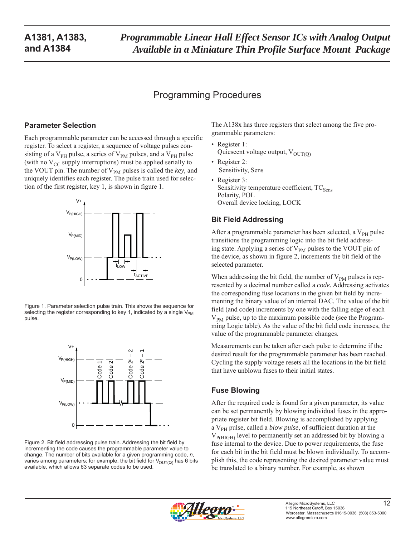## Programming Procedures

### **Parameter Selection**

Each programmable parameter can be accessed through a specific register. To select a register, a sequence of voltage pulses consisting of a  $V_{PH}$  pulse, a series of  $V_{PM}$  pulses, and a  $V_{PH}$  pulse (with no  $V_{CC}$  supply interruptions) must be applied serially to the VOUT pin. The number of V<sub>PM</sub> pulses is called the *key*, and uniquely identifies each register. The pulse train used for selection of the first register, key 1, is shown in figure 1.



Figure 1. Parameter selection pulse train. This shows the sequence for selecting the register corresponding to key 1, indicated by a single  $V_{PM}$ pulse.



Figure 2. Bit field addressing pulse train. Addressing the bit field by incrementing the code causes the programmable parameter value to change. The number of bits available for a given programming code, *n*, varies among parameters; for example, the bit field for  $V_{\text{OUT}(Q)}$  has 6 bits available, which allows 63 separate codes to be used.

The A138x has three registers that select among the five programmable parameters:

- Register 1: Quiescent voltage output,  $V_{\text{OUT(0)}}$
- Register 2: Sensitivity, Sens
- Register 3: Sensitivity temperature coefficient,  $TC_{Sens}$ Polarity, POL Overall device locking, LOCK

### **Bit Field Addressing**

After a programmable parameter has been selected, a  $V_{\text{PH}}$  pulse transitions the programming logic into the bit field addressing state. Applying a series of  $V_{PM}$  pulses to the VOUT pin of the device, as shown in figure 2, increments the bit field of the selected parameter.

When addressing the bit field, the number of  $V_{PM}$  pulses is represented by a decimal number called a *code*. Addressing activates the corresponding fuse locations in the given bit field by incrementing the binary value of an internal DAC. The value of the bit field (and code) increments by one with the falling edge of each  $V_{PM}$  pulse, up to the maximum possible code (see the Programming Logic table). As the value of the bit field code increases, the value of the programmable parameter changes.

Measurements can be taken after each pulse to determine if the desired result for the programmable parameter has been reached. Cycling the supply voltage resets all the locations in the bit field that have unblown fuses to their initial states.

### **Fuse Blowing**

After the required code is found for a given parameter, its value can be set permanently by blowing individual fuses in the appropriate register bit field. Blowing is accomplished by applying a V<sub>PH</sub> pulse, called a *blow pulse*, of sufficient duration at the  $V_{\text{P(HIGH)}}$  level to permanently set an addressed bit by blowing a fuse internal to the device. Due to power requirements, the fuse for each bit in the bit field must be blown individually. To accomplish this, the code representing the desired parameter value must be translated to a binary number. For example, as shown

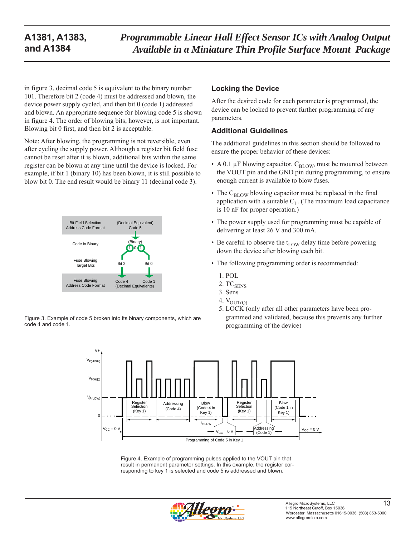in figure 3, decimal code 5 is equivalent to the binary number 101. Therefore bit 2 (code 4) must be addressed and blown, the device power supply cycled, and then bit 0 (code 1) addressed and blown. An appropriate sequence for blowing code 5 is shown in figure 4. The order of blowing bits, however, is not important. Blowing bit 0 first, and then bit 2 is acceptable.

Note: After blowing, the programming is not reversible, even after cycling the supply power. Although a register bit field fuse cannot be reset after it is blown, additional bits within the same register can be blown at any time until the device is locked. For example, if bit 1 (binary 10) has been blown, it is still possible to blow bit 0. The end result would be binary 11 (decimal code 3).



Figure 3. Example of code 5 broken into its binary components, which are code 4 and code 1.

### **Locking the Device**

After the desired code for each parameter is programmed, the device can be locked to prevent further programming of any parameters.

#### **Additional Guidelines**

The additional guidelines in this section should be followed to ensure the proper behavior of these devices:

- A 0.1  $\mu$ F blowing capacitor, C<sub>BLOW</sub>, must be mounted between the VOUT pin and the GND pin during programming, to ensure enough current is available to blow fuses.
- The  $C_{\text{BLOW}}$  blowing capacitor must be replaced in the final application with a suitable  $C_{L}$ . (The maximum load capacitance is 10 nF for proper operation.)
- The power supply used for programming must be capable of delivering at least 26 V and 300 mA.
- Be careful to observe the  $t_{\text{LOW}}$  delay time before powering down the device after blowing each bit.
- The following programming order is recommended:
	- 1. POL
	- 2. TC<sub>SENS</sub>
	- 3. Sens
	- 4.  $V_{OUT(Q)}$
	- 5. LOCK (only after all other parameters have been programmed and validated, because this prevents any further programming of the device)



Figure 4. Example of programming pulses applied to the VOUT pin that result in permanent parameter settings. In this example, the register corresponding to key 1 is selected and code 5 is addressed and blown.

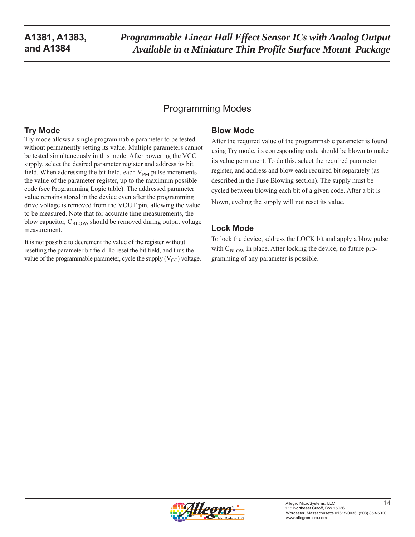# Programming Modes

### **Try Mode**

Try mode allows a single programmable parameter to be tested without permanently setting its value. Multiple parameters cannot be tested simultaneously in this mode. After powering the VCC supply, select the desired parameter register and address its bit field. When addressing the bit field, each  $V_{PM}$  pulse increments the value of the parameter register, up to the maximum possible code (see Programming Logic table). The addressed parameter value remains stored in the device even after the programming drive voltage is removed from the VOUT pin, allowing the value to be measured. Note that for accurate time measurements, the blow capacitor,  $C_{\text{BIOW}}$ , should be removed during output voltage measurement.

It is not possible to decrement the value of the register without resetting the parameter bit field. To reset the bit field, and thus the value of the programmable parameter, cycle the supply  $(V_{CC})$  voltage.

### **Blow Mode**

After the required value of the programmable parameter is found using Try mode, its corresponding code should be blown to make its value permanent. To do this, select the required parameter register, and address and blow each required bit separately (as described in the Fuse Blowing section). The supply must be cycled between blowing each bit of a given code. After a bit is blown, cycling the supply will not reset its value.

## **Lock Mode**

To lock the device, address the LOCK bit and apply a blow pulse with  $C_{\text{BLOW}}$  in place. After locking the device, no future programming of any parameter is possible.

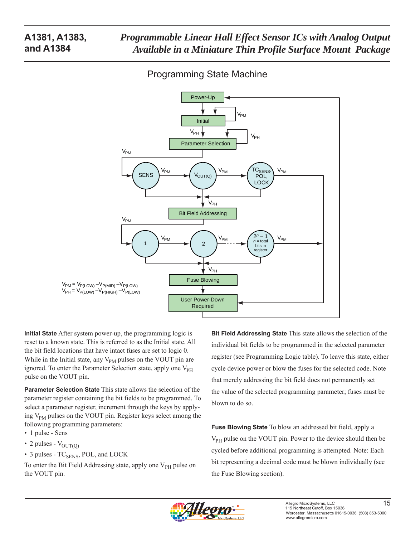## Programming State Machine



**Initial State** After system power-up, the programming logic is reset to a known state. This is referred to as the Initial state. All the bit field locations that have intact fuses are set to logic 0. While in the Initial state, any  $V_{PM}$  pulses on the VOUT pin are ignored. To enter the Parameter Selection state, apply one V<sub>PH</sub> pulse on the VOUT pin.

**Parameter Selection State** This state allows the selection of the parameter register containing the bit fields to be programmed. To select a parameter register, increment through the keys by applying  $V_{PM}$  pulses on the VOUT pin. Register keys select among the following programming parameters:

- 1 pulse Sens
- 2 pulses  $V_{\text{OUT(0)}}$
- $\cdot$  3 pulses TC<sub>SENS</sub>, POL, and LOCK

To enter the Bit Field Addressing state, apply one  $V_{PH}$  pulse on the VOUT pin.

**Bit Field Addressing State** This state allows the selection of the individual bit fields to be programmed in the selected parameter register (see Programming Logic table). To leave this state, either cycle device power or blow the fuses for the selected code. Note that merely addressing the bit field does not permanently set the value of the selected programming parameter; fuses must be blown to do so.

**Fuse Blowing State** To blow an addressed bit field, apply a  $V_{PH}$  pulse on the VOUT pin. Power to the device should then be cycled before additional programming is attempted. Note: Each bit representing a decimal code must be blown individually (see the Fuse Blowing section).

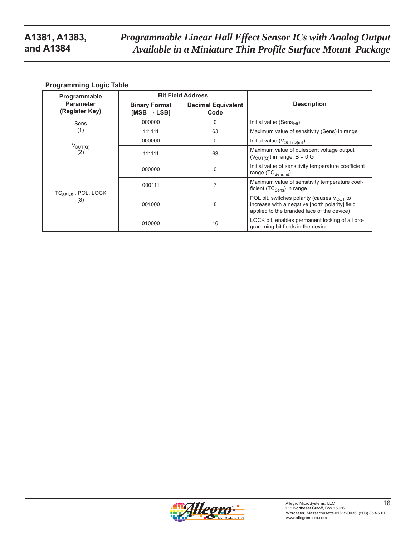#### **Programming Logic Table**

| Programmable                          |                                                 | <b>Bit Field Address</b>          |                                                                                                                                                         |
|---------------------------------------|-------------------------------------------------|-----------------------------------|---------------------------------------------------------------------------------------------------------------------------------------------------------|
| <b>Parameter</b><br>(Register Key)    | <b>Binary Format</b><br>[MSB $\rightarrow$ LSB] | <b>Decimal Equivalent</b><br>Code | <b>Description</b>                                                                                                                                      |
| Sens                                  | 000000                                          | 0                                 | Initial value (Sens $_{init}$ )                                                                                                                         |
| (1)                                   | 111111                                          | 63                                | Maximum value of sensitivity (Sens) in range                                                                                                            |
|                                       | 000000                                          | $\Omega$                          | Initial value $(V_{OUT(Q)init})$                                                                                                                        |
| $V_{\text{OUT}(Q)}$<br>(2)            | 111111                                          | 63                                | Maximum value of quiescent voltage output<br>$(VOUT(Q))$ in range; B = 0 G                                                                              |
| TC <sub>SENS</sub> , POL, LOCK<br>(3) | 000000                                          | $\Omega$                          | Initial value of sensitivity temperature coefficient<br>range $(TC_{Sensitivity})$                                                                      |
|                                       | 000111                                          | 7                                 | Maximum value of sensitivity temperature coef-<br>ficient $(TC_{Sens})$ in range                                                                        |
|                                       | 001000                                          | 8                                 | POL bit, switches polarity (causes $V_{\text{OUT}}$ to<br>increase with a negative [north polarity] field<br>applied to the branded face of the device) |
|                                       | 010000                                          | 16                                | LOCK bit, enables permanent locking of all pro-<br>gramming bit fields in the device                                                                    |

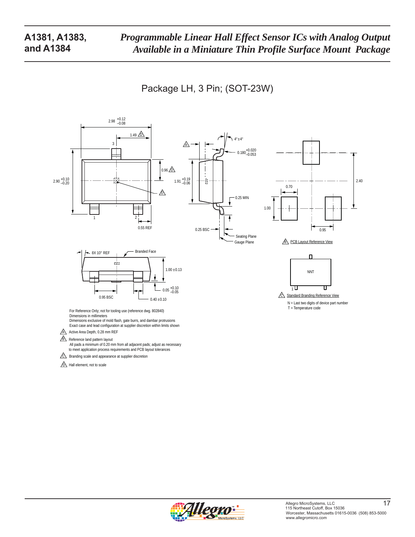Package LH, 3 Pin; (SOT-23W)



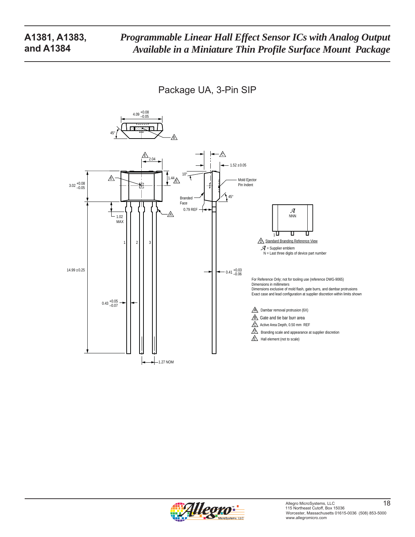Package UA, 3-Pin SIP